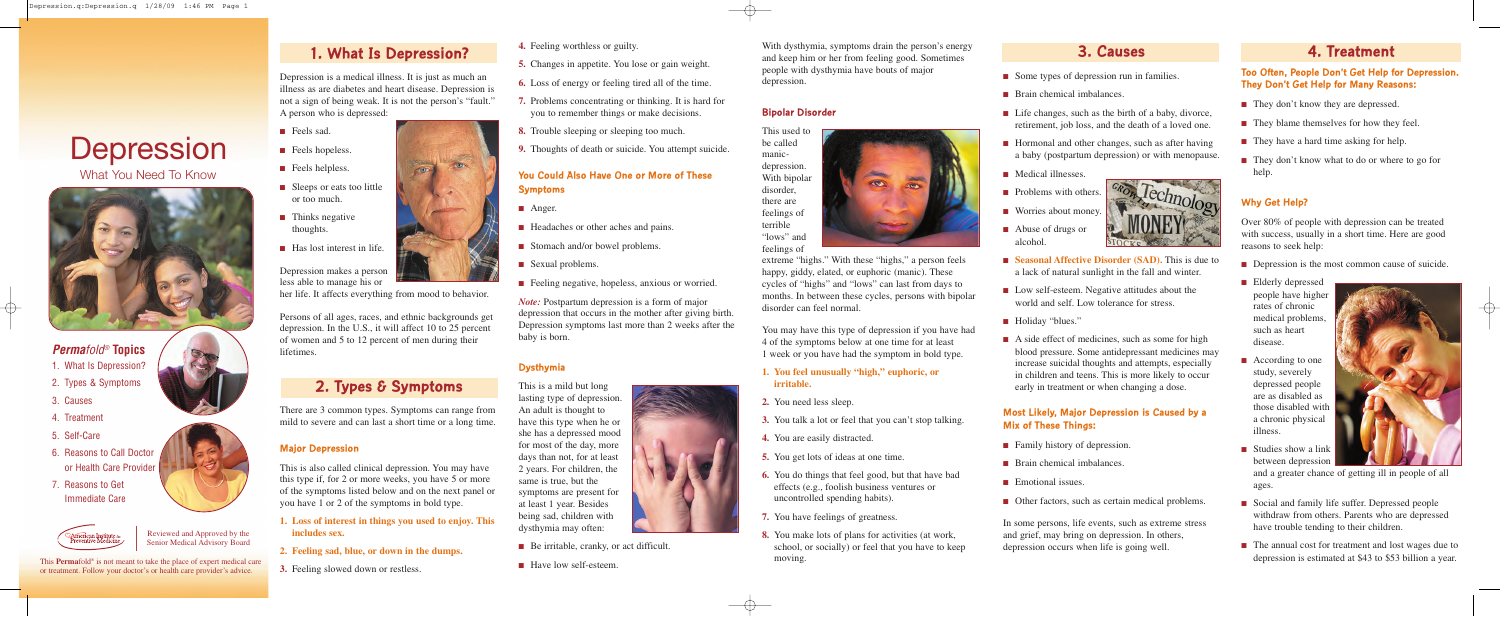This **Perma**fold® is not meant to take the place of expert medical care or treatment. Follow your doctor's or health care provider's advice.

Reviewed and Approved by the Senior Medical Advisory Board

# **Depression** What You Need To Know



## *Permafold®* **Topics**

- 1. What Is Depression?
- 2. Types & Symptoms
- 3. Causes
- 4. Treatment
- 5. Self-Care
- 6. Reasons to Call Doctor or Health Care Provider
- 7. Reasons to Get Immediate Care



- They don't know they are depressed.
- They blame themselves for how they feel.
- They have a hard time asking for help.
- They don't know what to do or where to go for help.

# **4. Treatment**

#### **Too Often, People Don't Get Help for Depression. They Don't Get Help for Many Reasons:**

### **Why Get Help?**

- Social and family life suffer. Depressed people withdraw from others. Parents who are depressed have trouble tending to their children.
- The annual cost for treatment and lost wages due to depression is estimated at \$43 to \$53 billion a year.



Over 80% of people with depression can be treated with success, usually in a short time. Here are good reasons to seek help:

- Depression is the most common cause of suicide.
- Elderly depressed people have higher rates of chronic medical problems, such as heart disease.
- According to one study, severely depressed people are as disabled as those disabled with a chronic physical illness.
- Studies show a link between depression
- Some types of depression run in families.
- Brain chemical imbalances.
- Life changes, such as the birth of a baby, divorce, retirement, job loss, and the death of a loved one.
- Hormonal and other changes, such as after having a baby (postpartum depression) or with menopause.

n Technology

- Medical illnesses
- Problems with others.
- Worries about money.

- **Seasonal Affective Disorder (SAD).** This is due to a lack of natural sunlight in the fall and winter.
- Low self-esteem. Negative attitudes about the world and self. Low tolerance for stress.
- Holiday "blues."
- A side effect of medicines, such as some for high blood pressure. Some antidepressant medicines may increase suicidal thoughts and attempts, especially in children and teens. This is more likely to occur early in treatment or when changing a dose.

and a greater chance of getting ill in people of all ages.

# **3. Causes**



- **■** Anger.
- Headaches or other aches and pains.
- Stomach and/or bowel problems.
- Sexual problems.
- Feeling negative, hopeless, anxious or worried.

#### **Most Likely, Major Depression is Caused by a Mix of These Things:**

- Family history of depression.
- Brain chemical imbalances.
- Emotional issues.
- Other factors, such as certain medical problems.

In some persons, life events, such as extreme stress and grief, may bring on depression. In others, depression occurs when life is going well.

With dysthymia, symptoms drain the person's energy and keep him or her from feeling good. Sometimes people with dysthymia have bouts of major depression.

#### **Bipolar Disorder**



extreme "highs." With these "highs," a person feels happy, giddy, elated, or euphoric (manic). These cycles of "highs" and "lows" can last from days to months. In between these cycles, persons with bipolar disorder can feel normal.

You may have this type of depression if you have had 4 of the symptoms below at one time for at least 1 week or you have had the symptom in bold type.

**1. You feel unusually "high," euphoric, or**

# **irritable.**

- **2.** You need less sleep.
- 
- **4.** You are easily distracted.
- 
- 
- **7.** You have feelings of greatness.
- moving.





- **3.** You talk a lot or feel that you can't stop talking.
	-
- **5.** You get lots of ideas at one time.
- **6.** You do things that feel good, but that have bad effects (e.g., foolish business ventures or uncontrolled spending habits).
- **8.** You make lots of plans for activities (at work, school, or socially) or feel that you have to keep
- **4.** Feeling worthless or guilty.
- **5.** Changes in appetite. You lose or gain weight.
- **6.** Loss of energy or feeling tired all of the time.
- **7.** Problems concentrating or thinking. It is hard for you to remember things or make decisions.
- **8.** Trouble sleeping or sleeping too much.
- **9.** Thoughts of death or suicide. You attempt suicide.

#### **You Could Also Have One or More of These Symptoms**

*Note:* Postpartum depression is a form of major depression that occurs in the mother after giving birth. Depression symptoms last more than 2 weeks after the baby is born.

#### **Dysthymia**

This is a mild but long lasting type of depression. An adult is thought to have this type when he or she has a depressed mood for most of the day, more days than not, for at least 2 years. For children, the same is true, but the symptoms are present for at least 1 year. Besides being sad, children with dysthymia may often:

- Be irritable, cranky, or act difficult.
- Have low self-esteem.

# **1. What Is Depression?**

Depression is a medical illness. It is just as much an illness as are diabetes and heart disease. Depression is not a sign of being weak. It is not the person's "fault." A person who is depressed:

- Feels sad.
- Feels hopeless.
- Feels helpless.
- Sleeps or eats too little or too much.
- Thinks negative thoughts.
- Has lost interest in life.

Depression makes a person less able to manage his or

her life. It affects everything from mood to behavior.

Persons of all ages, races, and ethnic backgrounds get depression. In the U.S., it will affect 10 to 25 percent of women and 5 to 12 percent of men during their lifetimes.

# **2. Types & Symptoms**

There are 3 common types. Symptoms can range from mild to severe and can last a short time or a long time.

#### **Major Depression**

This is also called clinical depression. You may have this type if, for 2 or more weeks, you have 5 or more of the symptoms listed below and on the next panel or you have 1 or 2 of the symptoms in bold type.

- **1. Loss of interest in things you used to enjoy. This includes sex.**
- **2. Feeling sad, blue, or down in the dumps.**
- **3.** Feeling slowed down or restless.